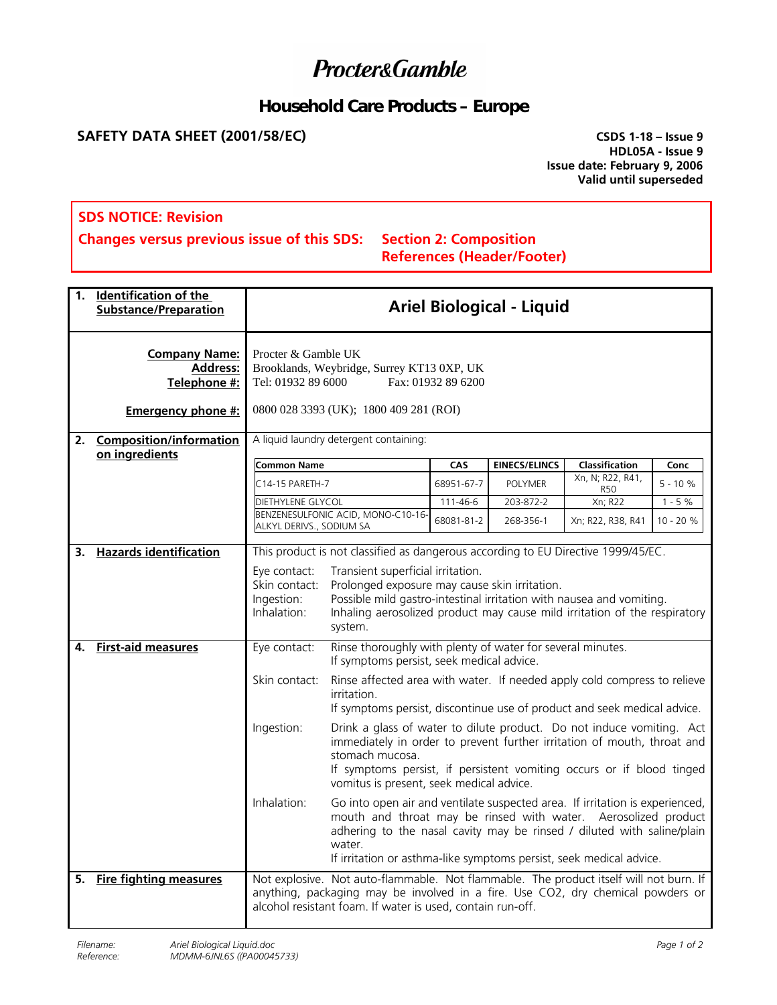## **Procter&Gamble**

### *Household Care Products – Europe*

### **SAFETY DATA SHEET (2001/58/EC)** CSDS 1-18 – Issue 9

**HDL05A - Issue 9 Issue date: February 9, 2006 Valid until superseded** 

#### **SDS NOTICE: Revision**

**Changes versus previous issue of this SDS: Section 2: Composition** 

# **References (Header/Footer)**

|    | 1. Identification of the<br><b>Substance/Preparation</b>                             | <b>Ariel Biological - Liquid</b>                                                                                                                                                                                                        |                                                                                                                                                                                                                                                                                                           |            |                      |                                |           |
|----|--------------------------------------------------------------------------------------|-----------------------------------------------------------------------------------------------------------------------------------------------------------------------------------------------------------------------------------------|-----------------------------------------------------------------------------------------------------------------------------------------------------------------------------------------------------------------------------------------------------------------------------------------------------------|------------|----------------------|--------------------------------|-----------|
|    | <b>Company Name:</b><br><b>Address:</b><br>Telephone #:<br><b>Emergency phone #:</b> | Procter & Gamble UK<br>Brooklands, Weybridge, Surrey KT13 0XP, UK<br>Tel: 01932 89 6000<br>Fax: 01932 89 6200<br>0800 028 3393 (UK); 1800 409 281 (ROI)                                                                                 |                                                                                                                                                                                                                                                                                                           |            |                      |                                |           |
| 2. | <b>Composition/information</b><br>on ingredients                                     | A liquid laundry detergent containing:                                                                                                                                                                                                  |                                                                                                                                                                                                                                                                                                           |            |                      |                                |           |
|    |                                                                                      | <b>Common Name</b>                                                                                                                                                                                                                      |                                                                                                                                                                                                                                                                                                           | CAS        | <b>EINECS/ELINCS</b> | Classification                 | Conc      |
|    |                                                                                      | C14-15 PARETH-7                                                                                                                                                                                                                         |                                                                                                                                                                                                                                                                                                           | 68951-67-7 | <b>POLYMER</b>       | Xn, N; R22, R41,<br><b>R50</b> | $5 - 10%$ |
|    |                                                                                      | DIETHYLENE GLYCOL                                                                                                                                                                                                                       |                                                                                                                                                                                                                                                                                                           | 111-46-6   | 203-872-2            | Xn; R22                        | $1 - 5%$  |
|    |                                                                                      | ALKYL DERIVS., SODIUM SA                                                                                                                                                                                                                | BENZENESULFONIC ACID, MONO-C10-16-                                                                                                                                                                                                                                                                        | 68081-81-2 | 268-356-1            | Xn; R22, R38, R41              | 10 - 20 % |
| 3. | <b>Hazards identification</b>                                                        | This product is not classified as dangerous according to EU Directive 1999/45/EC.                                                                                                                                                       |                                                                                                                                                                                                                                                                                                           |            |                      |                                |           |
|    |                                                                                      | Eye contact:<br>Skin contact:<br>Ingestion:<br>Inhalation:                                                                                                                                                                              | Transient superficial irritation.<br>Prolonged exposure may cause skin irritation.<br>Possible mild gastro-intestinal irritation with nausea and vomiting.<br>Inhaling aerosolized product may cause mild irritation of the respiratory<br>system.                                                        |            |                      |                                |           |
| 4. | <b>First-aid measures</b>                                                            | Eye contact:                                                                                                                                                                                                                            | Rinse thoroughly with plenty of water for several minutes.<br>If symptoms persist, seek medical advice.                                                                                                                                                                                                   |            |                      |                                |           |
|    |                                                                                      | Skin contact:                                                                                                                                                                                                                           | Rinse affected area with water. If needed apply cold compress to relieve<br>irritation.<br>If symptoms persist, discontinue use of product and seek medical advice.                                                                                                                                       |            |                      |                                |           |
|    |                                                                                      | Ingestion:                                                                                                                                                                                                                              | Drink a glass of water to dilute product. Do not induce vomiting. Act<br>immediately in order to prevent further irritation of mouth, throat and<br>stomach mucosa.<br>If symptoms persist, if persistent vomiting occurs or if blood tinged<br>vomitus is present, seek medical advice.                  |            |                      |                                |           |
|    |                                                                                      | Inhalation:                                                                                                                                                                                                                             | Go into open air and ventilate suspected area. If irritation is experienced,<br>mouth and throat may be rinsed with water. Aerosolized product<br>adhering to the nasal cavity may be rinsed / diluted with saline/plain<br>water.<br>If irritation or asthma-like symptoms persist, seek medical advice. |            |                      |                                |           |
| 5. | <b>Fire fighting measures</b>                                                        | Not explosive. Not auto-flammable. Not flammable. The product itself will not burn. If<br>anything, packaging may be involved in a fire. Use CO2, dry chemical powders or<br>alcohol resistant foam. If water is used, contain run-off. |                                                                                                                                                                                                                                                                                                           |            |                      |                                |           |